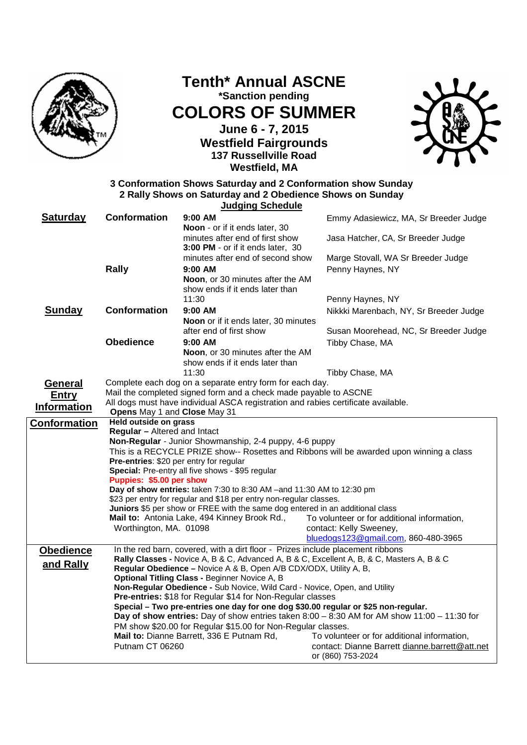

**Tenth\* Annual ASCNE \*Sanction pending COLORS OF SUMMER June 6 - 7, 2015 Westfield Fairgrounds 137 Russellville Road** 



**3 Conformation Shows Saturday and 2 Conformation show Sunday 2 Rally Shows on Saturday and 2 Obedience Shows on Sunday Judging Schedule**

**Westfield, MA**

| <b>Saturday</b>     | <b>Conformation</b>                     | $9:00$ AM                                                                                                                               | Emmy Adasiewicz, MA, Sr Breeder Judge                                                       |
|---------------------|-----------------------------------------|-----------------------------------------------------------------------------------------------------------------------------------------|---------------------------------------------------------------------------------------------|
|                     |                                         | Noon - or if it ends later, 30<br>minutes after end of first show                                                                       | Jasa Hatcher, CA, Sr Breeder Judge                                                          |
|                     |                                         | 3:00 PM - or if it ends later, 30                                                                                                       |                                                                                             |
|                     |                                         | minutes after end of second show                                                                                                        | Marge Stovall, WA Sr Breeder Judge                                                          |
|                     | Rally                                   | $9:00$ AM                                                                                                                               | Penny Haynes, NY                                                                            |
|                     |                                         | Noon, or 30 minutes after the AM                                                                                                        |                                                                                             |
|                     |                                         | show ends if it ends later than<br>11:30                                                                                                | Penny Haynes, NY                                                                            |
| <b>Sunday</b>       | <b>Conformation</b>                     | 9:00 AM                                                                                                                                 | Nikkki Marenbach, NY, Sr Breeder Judge                                                      |
|                     |                                         | Noon or if it ends later, 30 minutes                                                                                                    |                                                                                             |
|                     |                                         | after end of first show                                                                                                                 | Susan Moorehead, NC, Sr Breeder Judge                                                       |
|                     | <b>Obedience</b>                        | $9:00$ AM                                                                                                                               | Tibby Chase, MA                                                                             |
|                     |                                         | Noon, or 30 minutes after the AM                                                                                                        |                                                                                             |
|                     |                                         | show ends if it ends later than                                                                                                         |                                                                                             |
|                     |                                         | 11:30<br>Complete each dog on a separate entry form for each day.                                                                       | Tibby Chase, MA                                                                             |
| General             |                                         | Mail the completed signed form and a check made payable to ASCNE                                                                        |                                                                                             |
| <b>Entry</b>        |                                         | All dogs must have individual ASCA registration and rabies certificate available.                                                       |                                                                                             |
| <b>Information</b>  | Opens May 1 and Close May 31            |                                                                                                                                         |                                                                                             |
| <b>Conformation</b> | Held outside on grass                   |                                                                                                                                         |                                                                                             |
|                     | <b>Regular</b> - Altered and Intact     | Non-Regular - Junior Showmanship, 2-4 puppy, 4-6 puppy                                                                                  |                                                                                             |
|                     |                                         |                                                                                                                                         | This is a RECYCLE PRIZE show-- Rosettes and Ribbons will be awarded upon winning a class    |
|                     | Pre-entries: \$20 per entry for regular |                                                                                                                                         |                                                                                             |
|                     |                                         | Special: Pre-entry all five shows - \$95 regular                                                                                        |                                                                                             |
|                     | Puppies: \$5.00 per show                | Day of show entries: taken 7:30 to 8:30 AM -and 11:30 AM to 12:30 pm                                                                    |                                                                                             |
|                     |                                         | \$23 per entry for regular and \$18 per entry non-regular classes.                                                                      |                                                                                             |
|                     |                                         | Juniors \$5 per show or FREE with the same dog entered in an additional class                                                           |                                                                                             |
|                     |                                         | Mail to: Antonia Lake, 494 Kinney Brook Rd.,                                                                                            | To volunteer or for additional information,                                                 |
|                     | Worthington, MA. 01098                  |                                                                                                                                         | contact: Kelly Sweeney,                                                                     |
|                     |                                         |                                                                                                                                         | bluedogs123@gmail.com, 860-480-3965                                                         |
| <b>Obedience</b>    |                                         | In the red barn, covered, with a dirt floor - Prizes include placement ribbons                                                          | Rally Classes - Novice A, B & C, Advanced A, B & C, Excellent A, B, & C, Masters A, B & C   |
| and Rally           |                                         | Regular Obedience - Novice A & B, Open A/B CDX/ODX, Utility A, B,                                                                       |                                                                                             |
|                     |                                         | Optional Titling Class - Beginner Novice A, B                                                                                           |                                                                                             |
|                     |                                         | Non-Regular Obedience - Sub Novice, Wild Card - Novice, Open, and Utility<br>Pre-entries: \$18 for Regular \$14 for Non-Regular classes |                                                                                             |
|                     |                                         | Special - Two pre-entries one day for one dog \$30.00 regular or \$25 non-regular.                                                      |                                                                                             |
|                     |                                         |                                                                                                                                         | Day of show entries: Day of show entries taken 8:00 - 8:30 AM for AM show 11:00 - 11:30 for |
|                     |                                         | PM show \$20.00 for Regular \$15.00 for Non-Regular classes.                                                                            |                                                                                             |
|                     |                                         | Mail to: Dianne Barrett, 336 E Putnam Rd,                                                                                               | To volunteer or for additional information,                                                 |
|                     | Putnam CT 06260                         |                                                                                                                                         | contact: Dianne Barrett dianne.barrett@att.net<br>or (860) 753-2024                         |